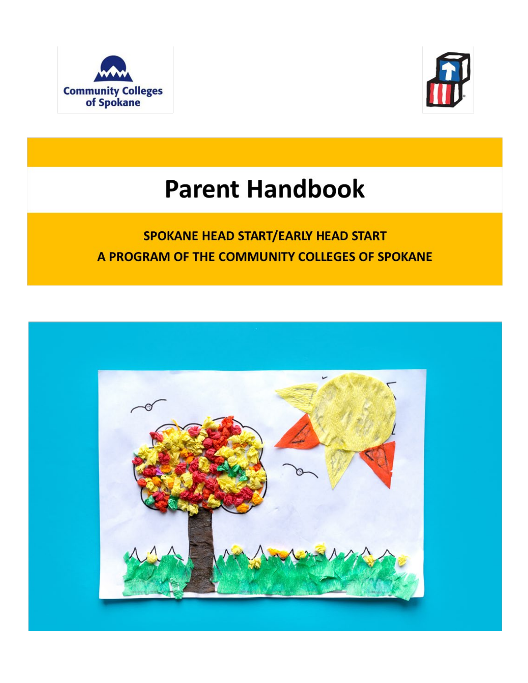



# **Parent Handbook**

# SPOKANE HEAD START/EARLY HEAD START A PROGRAM OF THE COMMUNITY COLLEGES OF SPOKANE

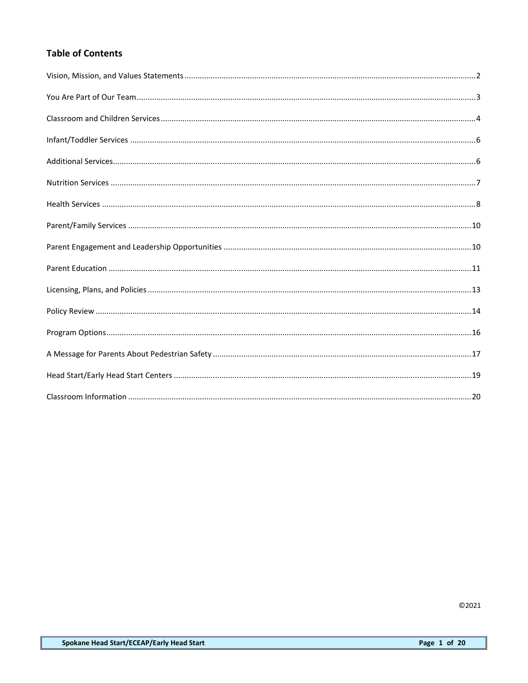# **Table of Contents**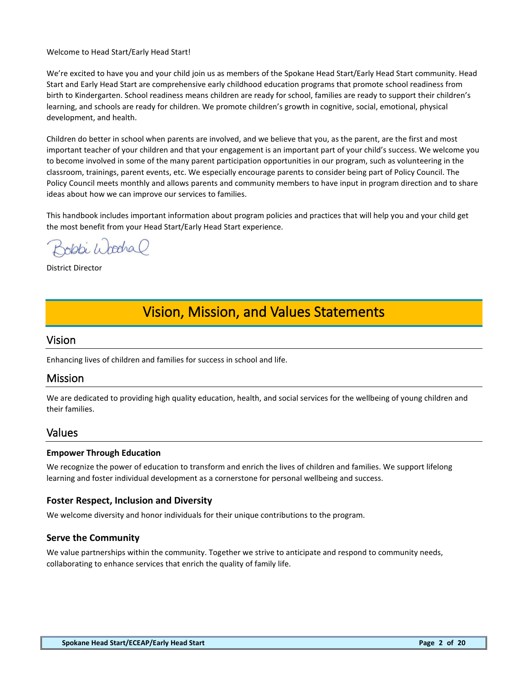#### Welcome to Head Start/Early Head Start!

We're excited to have you and your child join us as members of the Spokane Head Start/Early Head Start community. Head Start and Early Head Start are comprehensive early childhood education programs that promote school readiness from birth to Kindergarten. School readiness means children are ready for school, families are ready to support their children's learning, and schools are ready for children. We promote children's growth in cognitive, social, emotional, physical development, and health.

Children do better in school when parents are involved, and we believe that you, as the parent, are the first and most important teacher of your children and that your engagement is an important part of your child's success. We welcome you to become involved in some of the many parent participation opportunities in our program, such as volunteering in the classroom, trainings, parent events, etc. We especially encourage parents to consider being part of Policy Council. The Policy Council meets monthly and allows parents and community members to have input in program direction and to share ideas about how we can improve our services to families.

This handbook includes important information about program policies and practices that will help you and your child get the most benefit from your Head Start/Early Head Start experience.

Bobbi Woodral

District Director

# <span id="page-2-0"></span>Vision, Mission, and Values Statements

# Vision

Enhancing lives of children and families for success in school and life.

# Mission

We are dedicated to providing high quality education, health, and social services for the wellbeing of young children and their families.

# Values

#### **Empower Through Education**

We recognize the power of education to transform and enrich the lives of children and families. We support lifelong learning and foster individual development as a cornerstone for personal wellbeing and success.

# **Foster Respect, Inclusion and Diversity**

We welcome diversity and honor individuals for their unique contributions to the program.

# **Serve the Community**

We value partnerships within the community. Together we strive to anticipate and respond to community needs, collaborating to enhance services that enrich the quality of family life.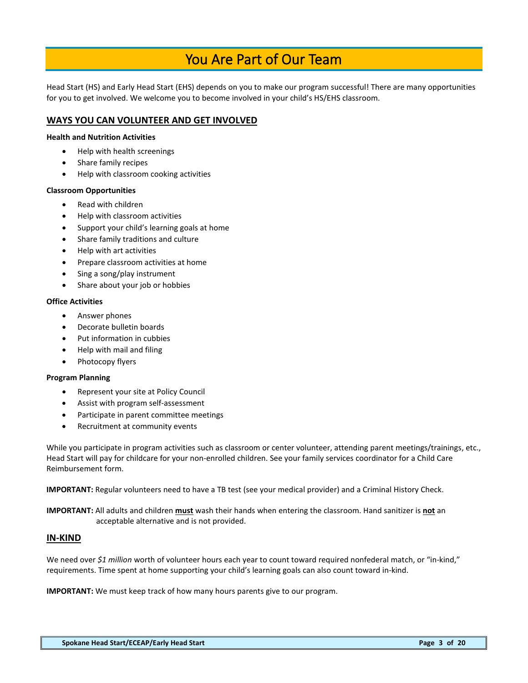# You Are Part of Our Team

<span id="page-3-0"></span>Head Start (HS) and Early Head Start (EHS) depends on you to make our program successful! There are many opportunities for you to get involved. We welcome you to become involved in your child's HS/EHS classroom.

# **WAYS YOU CAN VOLUNTEER AND GET INVOLVED**

#### **Health and Nutrition Activities**

- Help with health screenings
- Share family recipes
- Help with classroom cooking activities

#### **Classroom Opportunities**

- Read with children
- Help with classroom activities
- Support your child's learning goals at home
- Share family traditions and culture
- Help with art activities
- Prepare classroom activities at home
- Sing a song/play instrument
- Share about your job or hobbies

#### **Office Activities**

- Answer phones
- Decorate bulletin boards
- Put information in cubbies
- Help with mail and filing
- Photocopy flyers

#### **Program Planning**

- Represent your site at Policy Council
- Assist with program self-assessment
- Participate in parent committee meetings
- Recruitment at community events

While you participate in program activities such as classroom or center volunteer, attending parent meetings/trainings, etc., Head Start will pay for childcare for your non-enrolled children. See your family services coordinator for a Child Care Reimbursement form.

**IMPORTANT:** Regular volunteers need to have a TB test (see your medical provider) and a Criminal History Check.

**IMPORTANT:** All adults and children **must** wash their hands when entering the classroom. Hand sanitizer is **not** an acceptable alternative and is not provided.

#### **IN-KIND**

We need over *\$1 million* worth of volunteer hours each year to count toward required nonfederal match, or "in-kind," requirements. Time spent at home supporting your child's learning goals can also count toward in-kind.

**IMPORTANT:** We must keep track of how many hours parents give to our program.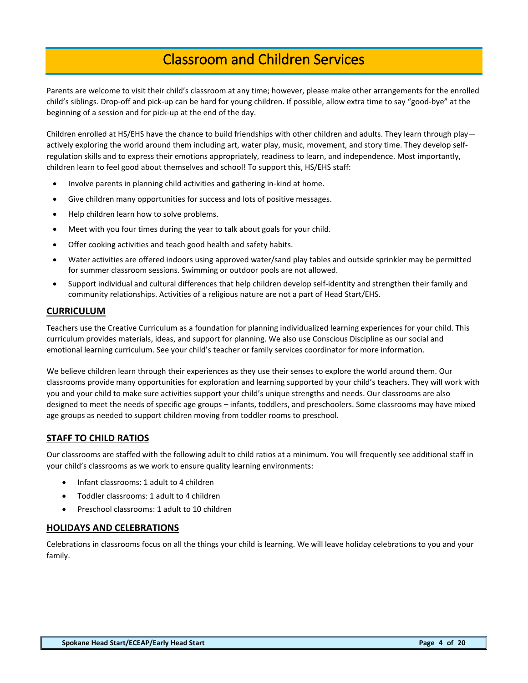# Classroom and Children Services

<span id="page-4-0"></span>Parents are welcome to visit their child's classroom at any time; however, please make other arrangements for the enrolled child's siblings. Drop-off and pick-up can be hard for young children. If possible, allow extra time to say "good-bye" at the beginning of a session and for pick-up at the end of the day.

Children enrolled at HS/EHS have the chance to build friendships with other children and adults. They learn through play actively exploring the world around them including art, water play, music, movement, and story time. They develop selfregulation skills and to express their emotions appropriately, readiness to learn, and independence. Most importantly, children learn to feel good about themselves and school! To support this, HS/EHS staff:

- Involve parents in planning child activities and gathering in-kind at home.
- Give children many opportunities for success and lots of positive messages.
- Help children learn how to solve problems.
- Meet with you four times during the year to talk about goals for your child.
- Offer cooking activities and teach good health and safety habits.
- Water activities are offered indoors using approved water/sand play tables and outside sprinkler may be permitted for summer classroom sessions. Swimming or outdoor pools are not allowed.
- Support individual and cultural differences that help children develop self-identity and strengthen their family and community relationships. Activities of a religious nature are not a part of Head Start/EHS.

# **CURRICULUM**

Teachers use the Creative Curriculum as a foundation for planning individualized learning experiences for your child. This curriculum provides materials, ideas, and support for planning. We also use Conscious Discipline as our social and emotional learning curriculum. See your child's teacher or family services coordinator for more information.

We believe children learn through their experiences as they use their senses to explore the world around them. Our classrooms provide many opportunities for exploration and learning supported by your child's teachers. They will work with you and your child to make sure activities support your child's unique strengths and needs. Our classrooms are also designed to meet the needs of specific age groups – infants, toddlers, and preschoolers. Some classrooms may have mixed age groups as needed to support children moving from toddler rooms to preschool.

# **STAFF TO CHILD RATIOS**

Our classrooms are staffed with the following adult to child ratios at a minimum. You will frequently see additional staff in your child's classrooms as we work to ensure quality learning environments:

- Infant classrooms: 1 adult to 4 children
- Toddler classrooms: 1 adult to 4 children
- Preschool classrooms: 1 adult to 10 children

#### **HOLIDAYS AND CELEBRATIONS**

Celebrations in classrooms focus on all the things your child is learning. We will leave holiday celebrations to you and your family.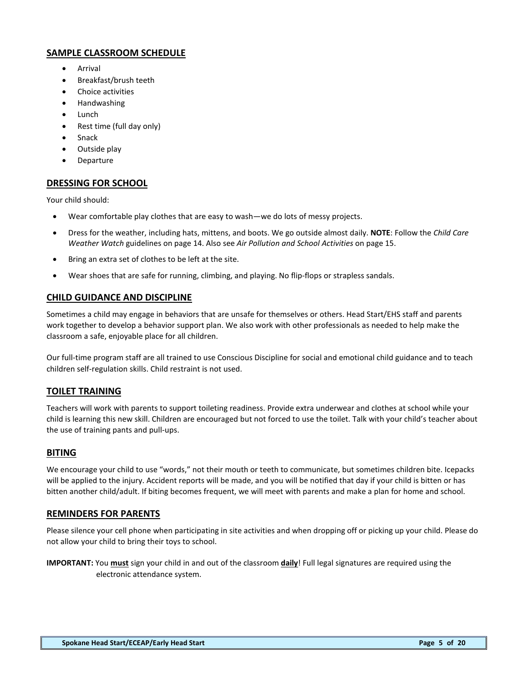# **SAMPLE CLASSROOM SCHEDULE**

- Arrival
- Breakfast/brush teeth
- Choice activities
- Handwashing
- Lunch
- Rest time (full day only)
- **Snack**
- Outside play
- Departure

# **DRESSING FOR SCHOOL**

Your child should:

- Wear comfortable play clothes that are easy to wash—we do lots of messy projects.
- Dress for the weather, including hats, mittens, and boots. We go outside almost daily. **NOTE**: Follow the *Child Care Weather Watch* guidelines on page 14. Also see *Air Pollution and School Activities* on page 15.
- Bring an extra set of clothes to be left at the site.
- Wear shoes that are safe for running, climbing, and playing. No flip-flops or strapless sandals.

# **CHILD GUIDANCE AND DISCIPLINE**

Sometimes a child may engage in behaviors that are unsafe for themselves or others. Head Start/EHS staff and parents work together to develop a behavior support plan. We also work with other professionals as needed to help make the classroom a safe, enjoyable place for all children.

Our full-time program staff are all trained to use Conscious Discipline for social and emotional child guidance and to teach children self-regulation skills. Child restraint is not used.

# **TOILET TRAINING**

Teachers will work with parents to support toileting readiness. Provide extra underwear and clothes at school while your child is learning this new skill. Children are encouraged but not forced to use the toilet. Talk with your child's teacher about the use of training pants and pull-ups.

#### **BITING**

We encourage your child to use "words," not their mouth or teeth to communicate, but sometimes children bite. Icepacks will be applied to the injury. Accident reports will be made, and you will be notified that day if your child is bitten or has bitten another child/adult. If biting becomes frequent, we will meet with parents and make a plan for home and school.

# **REMINDERS FOR PARENTS**

Please silence your cell phone when participating in site activities and when dropping off or picking up your child. Please do not allow your child to bring their toys to school.

**IMPORTANT:** You **must** sign your child in and out of the classroom **daily**! Full legal signatures are required using the electronic attendance system.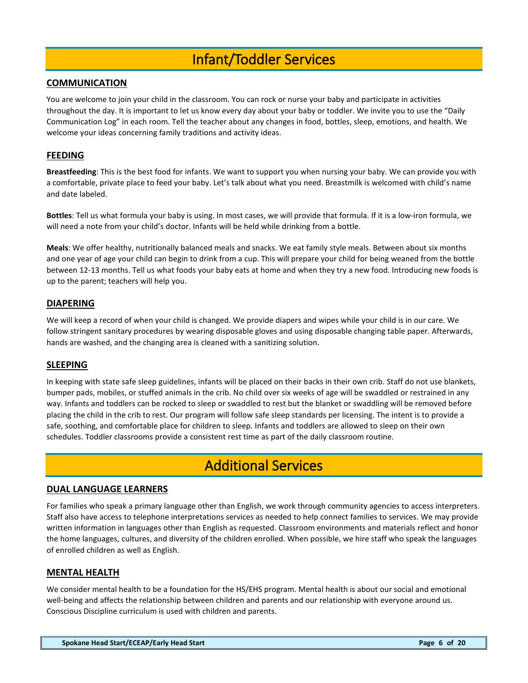# Infant/Toddler Services

# <span id="page-6-0"></span>**COMMUNICATION**

You are welcome to join your child in the classroom. You can rock or nurse your baby and participate in activities throughout the day. It is important to let us know every day about your baby or toddler. We invite you to use the "Daily Communication Log" in each room. Tell the teacher about any changes in food, bottles, sleep, emotions, and health. We welcome your ideas concerning family traditions and activity ideas.

# **FEEDING**

**Breastfeeding**: This is the best food for infants. We want to support you when nursing your baby. We can provide you with a comfortable, private place to feed your baby. Let's talk about what you need. Breastmilk is welcomed with child's name and date labeled.

**Bottles**: Tell us what formula your baby is using. In most cases, we will provide that formula. If it is a low-iron formula, we will need a note from your child's doctor. Infants will be held while drinking from a bottle.

**Meals**: We offer healthy, nutritionally balanced meals and snacks. We eat family style meals. Between about six months and one year of age your child can begin to drink from a cup. This will prepare your child for being weaned from the bottle between 12-13 months. Tell us what foods your baby eats at home and when they try a new food. Introducing new foods is up to the parent; teachers will help you.

# **DIAPERING**

We will keep a record of when your child is changed. We provide diapers and wipes while your child is in our care. We follow stringent sanitary procedures by wearing disposable gloves and using disposable changing table paper. Afterwards, hands are washed, and the changing area is cleaned with a sanitizing solution.

#### **SLEEPING**

In keeping with state safe sleep guidelines, infants will be placed on their backs in their own crib. Staff do not use blankets, bumper pads, mobiles, or stuffed animals in the crib. No child over six weeks of age will be swaddled or restrained in any way. Infants and toddlers can be rocked to sleep or swaddled to rest but the blanket or swaddling will be removed before placing the child in the crib to rest. Our program will follow safe sleep standards per licensing. The intent is to provide a safe, soothing, and comfortable place for children to sleep. Infants and toddlers are allowed to sleep on their own schedules. Toddler classrooms provide a consistent rest time as part of the daily classroom routine.

# Additional Services

### <span id="page-6-1"></span>**DUAL LANGUAGE LEARNERS**

For families who speak a primary language other than English, we work through community agencies to access interpreters. Staff also have access to telephone interpretations services as needed to help connect families to services. We may provide written information in languages other than English as requested. Classroom environments and materials reflect and honor the home languages, cultures, and diversity of the children enrolled. When possible, we hire staff who speak the languages of enrolled children as well as English.

#### **MENTAL HEALTH**

We consider mental health to be a foundation for the HS/EHS program. Mental health is about our social and emotional well-being and affects the relationship between children and parents and our relationship with everyone around us. Conscious Discipline curriculum is used with children and parents.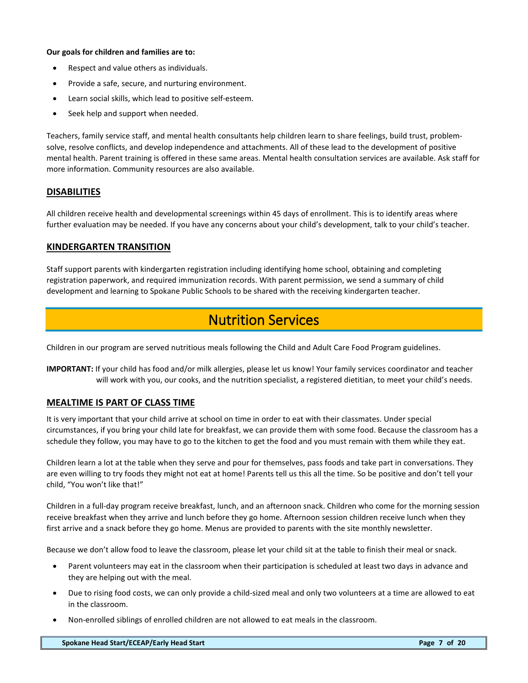#### **Our goals for children and families are to:**

- Respect and value others as individuals.
- Provide a safe, secure, and nurturing environment.
- Learn social skills, which lead to positive self-esteem.
- Seek help and support when needed.

Teachers, family service staff, and mental health consultants help children learn to share feelings, build trust, problemsolve, resolve conflicts, and develop independence and attachments. All of these lead to the development of positive mental health. Parent training is offered in these same areas. Mental health consultation services are available. Ask staff for more information. Community resources are also available.

# **DISABILITIES**

All children receive health and developmental screenings within 45 days of enrollment. This is to identify areas where further evaluation may be needed. If you have any concerns about your child's development, talk to your child's teacher.

### **KINDERGARTEN TRANSITION**

Staff support parents with kindergarten registration including identifying home school, obtaining and completing registration paperwork, and required immunization records. With parent permission, we send a summary of child development and learning to Spokane Public Schools to be shared with the receiving kindergarten teacher.

# Nutrition Services

<span id="page-7-0"></span>Children in our program are served nutritious meals following the Child and Adult Care Food Program guidelines.

**IMPORTANT:** If your child has food and/or milk allergies, please let us know! Your family services coordinator and teacher will work with you, our cooks, and the nutrition specialist, a registered dietitian, to meet your child's needs.

# **MEALTIME IS PART OF CLASS TIME**

It is very important that your child arrive at school on time in order to eat with their classmates. Under special circumstances, if you bring your child late for breakfast, we can provide them with some food. Because the classroom has a schedule they follow, you may have to go to the kitchen to get the food and you must remain with them while they eat.

Children learn a lot at the table when they serve and pour for themselves, pass foods and take part in conversations. They are even willing to try foods they might not eat at home! Parents tell us this all the time. So be positive and don't tell your child, "You won't like that!"

Children in a full-day program receive breakfast, lunch, and an afternoon snack. Children who come for the morning session receive breakfast when they arrive and lunch before they go home. Afternoon session children receive lunch when they first arrive and a snack before they go home. Menus are provided to parents with the site monthly newsletter.

Because we don't allow food to leave the classroom, please let your child sit at the table to finish their meal or snack.

- Parent volunteers may eat in the classroom when their participation is scheduled at least two days in advance and they are helping out with the meal.
- Due to rising food costs, we can only provide a child-sized meal and only two volunteers at a time are allowed to eat in the classroom.
- Non-enrolled siblings of enrolled children are not allowed to eat meals in the classroom.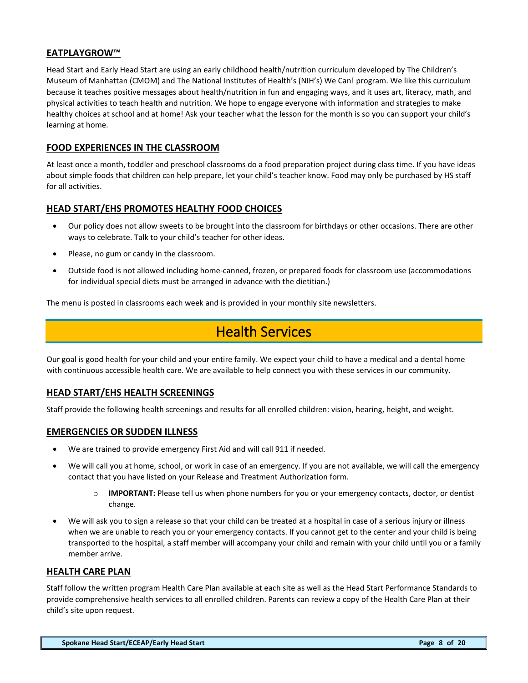# **EATPLAYGROW™**

Head Start and Early Head Start are using an early childhood health/nutrition curriculum developed by The Children's Museum of Manhattan (CMOM) and The National Institutes of Health's (NIH's) We Can! program. We like this curriculum because it teaches positive messages about health/nutrition in fun and engaging ways, and it uses art, literacy, math, and physical activities to teach health and nutrition. We hope to engage everyone with information and strategies to make healthy choices at school and at home! Ask your teacher what the lesson for the month is so you can support your child's learning at home.

### **FOOD EXPERIENCES IN THE CLASSROOM**

At least once a month, toddler and preschool classrooms do a food preparation project during class time. If you have ideas about simple foods that children can help prepare, let your child's teacher know. Food may only be purchased by HS staff for all activities.

### **HEAD START/EHS PROMOTES HEALTHY FOOD CHOICES**

- Our policy does not allow sweets to be brought into the classroom for birthdays or other occasions. There are other ways to celebrate. Talk to your child's teacher for other ideas.
- Please, no gum or candy in the classroom.
- Outside food is not allowed including home-canned, frozen, or prepared foods for classroom use (accommodations for individual special diets must be arranged in advance with the dietitian.)

<span id="page-8-0"></span>The menu is posted in classrooms each week and is provided in your monthly site newsletters.

# Health Services

Our goal is good health for your child and your entire family. We expect your child to have a medical and a dental home with continuous accessible health care. We are available to help connect you with these services in our community.

#### **HEAD START/EHS HEALTH SCREENINGS**

Staff provide the following health screenings and results for all enrolled children: vision, hearing, height, and weight.

#### **EMERGENCIES OR SUDDEN ILLNESS**

- We are trained to provide emergency First Aid and will call 911 if needed.
- We will call you at home, school, or work in case of an emergency. If you are not available, we will call the emergency contact that you have listed on your Release and Treatment Authorization form.
	- o **IMPORTANT:** Please tell us when phone numbers for you or your emergency contacts, doctor, or dentist change.
- We will ask you to sign a release so that your child can be treated at a hospital in case of a serious injury or illness when we are unable to reach you or your emergency contacts. If you cannot get to the center and your child is being transported to the hospital, a staff member will accompany your child and remain with your child until you or a family member arrive.

#### **HEALTH CARE PLAN**

Staff follow the written program Health Care Plan available at each site as well as the Head Start Performance Standards to provide comprehensive health services to all enrolled children. Parents can review a copy of the Health Care Plan at their child's site upon request.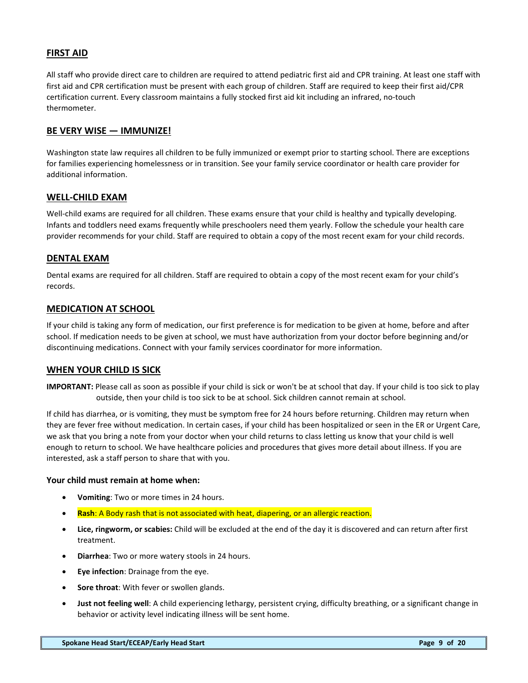# **FIRST AID**

All staff who provide direct care to children are required to attend pediatric first aid and CPR training. At least one staff with first aid and CPR certification must be present with each group of children. Staff are required to keep their first aid/CPR certification current. Every classroom maintains a fully stocked first aid kit including an infrared, no-touch thermometer.

### **BE VERY WISE — IMMUNIZE!**

Washington state law requires all children to be fully immunized or exempt prior to starting school. There are exceptions for families experiencing homelessness or in transition. See your family service coordinator or health care provider for additional information.

### **WELL-CHILD EXAM**

Well-child exams are required for all children. These exams ensure that your child is healthy and typically developing. Infants and toddlers need exams frequently while preschoolers need them yearly. Follow the schedule your health care provider recommends for your child. Staff are required to obtain a copy of the most recent exam for your child records.

# **DENTAL EXAM**

Dental exams are required for all children. Staff are required to obtain a copy of the most recent exam for your child's records.

### **MEDICATION AT SCHOOL**

If your child is taking any form of medication, our first preference is for medication to be given at home, before and after school. If medication needs to be given at school, we must have authorization from your doctor before beginning and/or discontinuing medications. Connect with your family services coordinator for more information.

#### **WHEN YOUR CHILD IS SICK**

**IMPORTANT:** Please call as soon as possible if your child is sick or won't be at school that day. If your child is too sick to play outside, then your child is too sick to be at school. Sick children cannot remain at school.

If child has diarrhea, or is vomiting, they must be symptom free for 24 hours before returning. Children may return when they are fever free without medication. In certain cases, if your child has been hospitalized or seen in the ER or Urgent Care, we ask that you bring a note from your doctor when your child returns to class letting us know that your child is well enough to return to school. We have healthcare policies and procedures that gives more detail about illness. If you are interested, ask a staff person to share that with you.

#### **Your child must remain at home when:**

- **Vomiting**: Two or more times in 24 hours.
- **Rash**: A Body rash that is not associated with heat, diapering, or an allergic reaction.
- **Lice, ringworm, or scabies:** Child will be excluded at the end of the day it is discovered and can return after first treatment.
- **Diarrhea**: Two or more watery stools in 24 hours.
- **Eye infection**: Drainage from the eye.
- **Sore throat**: With fever or swollen glands.
- **Just not feeling well**: A child experiencing lethargy, persistent crying, difficulty breathing, or a significant change in behavior or activity level indicating illness will be sent home.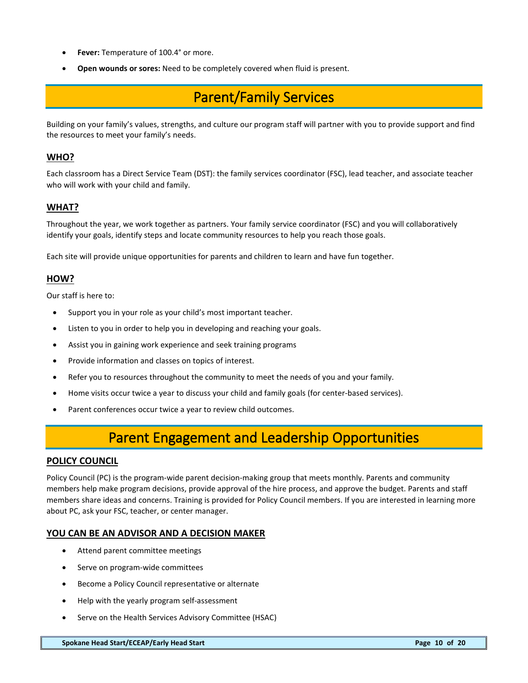- **Fever:** Temperature of 100.4° or more.
- <span id="page-10-0"></span>• **Open wounds or sores:** Need to be completely covered when fluid is present.

# Parent/Family Services

Building on your family's values, strengths, and culture our program staff will partner with you to provide support and find the resources to meet your family's needs.

### **WHO?**

Each classroom has a Direct Service Team (DST): the family services coordinator (FSC), lead teacher, and associate teacher who will work with your child and family.

# **WHAT?**

Throughout the year, we work together as partners. Your family service coordinator (FSC) and you will collaboratively identify your goals, identify steps and locate community resources to help you reach those goals.

Each site will provide unique opportunities for parents and children to learn and have fun together.

### **HOW?**

Our staff is here to:

- Support you in your role as your child's most important teacher.
- Listen to you in order to help you in developing and reaching your goals.
- Assist you in gaining work experience and seek training programs
- Provide information and classes on topics of interest.
- Refer you to resources throughout the community to meet the needs of you and your family.
- Home visits occur twice a year to discuss your child and family goals (for center-based services).
- <span id="page-10-1"></span>• Parent conferences occur twice a year to review child outcomes.

# Parent Engagement and Leadership Opportunities

### **POLICY COUNCIL**

Policy Council (PC) is the program-wide parent decision-making group that meets monthly. Parents and community members help make program decisions, provide approval of the hire process, and approve the budget. Parents and staff members share ideas and concerns. Training is provided for Policy Council members. If you are interested in learning more about PC, ask your FSC, teacher, or center manager.

#### **YOU CAN BE AN ADVISOR AND A DECISION MAKER**

- Attend parent committee meetings
- Serve on program-wide committees
- Become a Policy Council representative or alternate
- Help with the yearly program self-assessment
- Serve on the Health Services Advisory Committee (HSAC)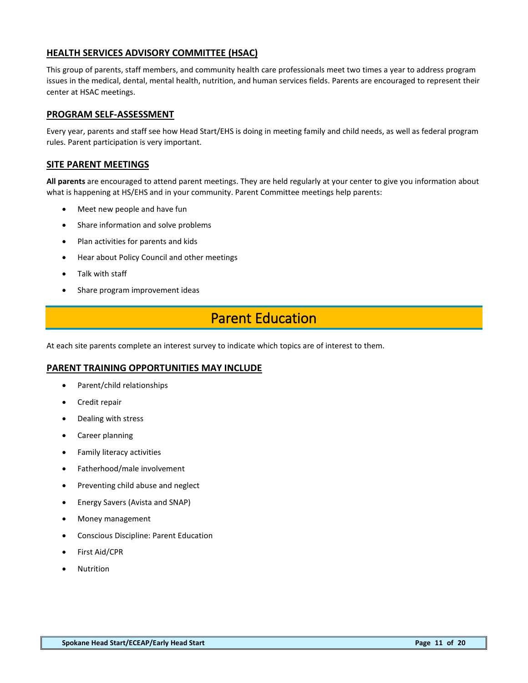# **HEALTH SERVICES ADVISORY COMMITTEE (HSAC)**

This group of parents, staff members, and community health care professionals meet two times a year to address program issues in the medical, dental, mental health, nutrition, and human services fields. Parents are encouraged to represent their center at HSAC meetings.

#### **PROGRAM SELF-ASSESSMENT**

Every year, parents and staff see how Head Start/EHS is doing in meeting family and child needs, as well as federal program rules. Parent participation is very important.

### **SITE PARENT MEETINGS**

**All parents** are encouraged to attend parent meetings. They are held regularly at your center to give you information about what is happening at HS/EHS and in your community. Parent Committee meetings help parents:

- Meet new people and have fun
- Share information and solve problems
- Plan activities for parents and kids
- Hear about Policy Council and other meetings
- Talk with staff
- <span id="page-11-0"></span>Share program improvement ideas

# Parent Education

At each site parents complete an interest survey to indicate which topics are of interest to them.

#### **PARENT TRAINING OPPORTUNITIES MAY INCLUDE**

- Parent/child relationships
- Credit repair
- Dealing with stress
- Career planning
- Family literacy activities
- Fatherhood/male involvement
- Preventing child abuse and neglect
- Energy Savers (Avista and SNAP)
- Money management
- Conscious Discipline: Parent Education
- First Aid/CPR
- **Nutrition**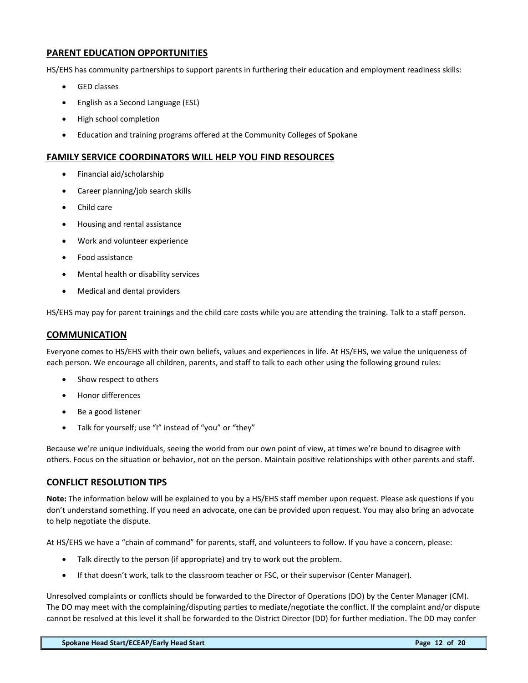# **PARENT EDUCATION OPPORTUNITIES**

HS/EHS has community partnerships to support parents in furthering their education and employment readiness skills:

- **GED** classes
- English as a Second Language (ESL)
- High school completion
- Education and training programs offered at the Community Colleges of Spokane

#### **FAMILY SERVICE COORDINATORS WILL HELP YOU FIND RESOURCES**

- Financial aid/scholarship
- Career planning/job search skills
- Child care
- Housing and rental assistance
- Work and volunteer experience
- Food assistance
- Mental health or disability services
- Medical and dental providers

HS/EHS may pay for parent trainings and the child care costs while you are attending the training. Talk to a staff person.

### **COMMUNICATION**

Everyone comes to HS/EHS with their own beliefs, values and experiences in life. At HS/EHS, we value the uniqueness of each person. We encourage all children, parents, and staff to talk to each other using the following ground rules:

- Show respect to others
- Honor differences
- Be a good listener
- Talk for yourself; use "I" instead of "you" or "they"

Because we're unique individuals, seeing the world from our own point of view, at times we're bound to disagree with others. Focus on the situation or behavior, not on the person. Maintain positive relationships with other parents and staff.

#### **CONFLICT RESOLUTION TIPS**

**Note:** The information below will be explained to you by a HS/EHS staff member upon request. Please ask questions if you don't understand something. If you need an advocate, one can be provided upon request. You may also bring an advocate to help negotiate the dispute.

At HS/EHS we have a "chain of command" for parents, staff, and volunteers to follow. If you have a concern, please:

- Talk directly to the person (if appropriate) and try to work out the problem.
- If that doesn't work, talk to the classroom teacher or FSC, or their supervisor (Center Manager).

Unresolved complaints or conflicts should be forwarded to the Director of Operations (DO) by the Center Manager (CM). The DO may meet with the complaining/disputing parties to mediate/negotiate the conflict. If the complaint and/or dispute cannot be resolved at this level it shall be forwarded to the District Director (DD) for further mediation. The DD may confer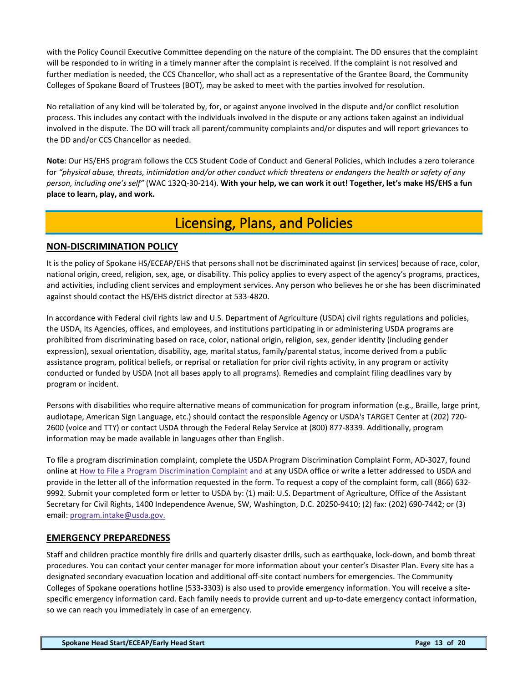with the Policy Council Executive Committee depending on the nature of the complaint. The DD ensures that the complaint will be responded to in writing in a timely manner after the complaint is received. If the complaint is not resolved and further mediation is needed, the CCS Chancellor, who shall act as a representative of the Grantee Board, the Community Colleges of Spokane Board of Trustees (BOT), may be asked to meet with the parties involved for resolution.

No retaliation of any kind will be tolerated by, for, or against anyone involved in the dispute and/or conflict resolution process. This includes any contact with the individuals involved in the dispute or any actions taken against an individual involved in the dispute. The DO will track all parent/community complaints and/or disputes and will report grievances to the DD and/or CCS Chancellor as needed.

**Note**: Our HS/EHS program follows the CCS Student Code of Conduct and General Policies, which includes a zero tolerance for *"physical abuse, threats, intimidation and/or other conduct which threatens or endangers the health or safety of any person, including one's self"* (WAC 132Q-30-214). **With your help, we can work it out! Together, let's make HS/EHS a fun place to learn, play, and work.** 

# Licensing, Plans, and Policies

# <span id="page-13-0"></span>**NON-DISCRIMINATION POLICY**

It is the policy of Spokane HS/ECEAP/EHS that persons shall not be discriminated against (in services) because of race, color, national origin, creed, religion, sex, age, or disability. This policy applies to every aspect of the agency's programs, practices, and activities, including client services and employment services. Any person who believes he or she has been discriminated against should contact the HS/EHS district director at 533-4820.

In accordance with Federal civil rights law and U.S. Department of Agriculture (USDA) civil rights regulations and policies, the USDA, its Agencies, offices, and employees, and institutions participating in or administering USDA programs are prohibited from discriminating based on race, color, national origin, religion, sex, gender identity (including gender expression), sexual orientation, disability, age, marital status, family/parental status, income derived from a public assistance program, political beliefs, or reprisal or retaliation for prior civil rights activity, in any program or activity conducted or funded by USDA (not all bases apply to all programs). Remedies and complaint filing deadlines vary by program or incident.

Persons with disabilities who require alternative means of communication for program information (e.g., Braille, large print, audiotape, American Sign Language, etc.) should contact the responsible Agency or USDA's TARGET Center at (202) 720- 2600 (voice and TTY) or contact USDA through the Federal Relay Service at (800) 877-8339. Additionally, program information may be made available in languages other than English.

To file a program discrimination complaint, complete the USDA Program Discrimination Complaint Form, AD-3027, found online at [How to File a Program Discrimination Complaint](https://www.ascr.usda.gov/how-file-program-discrimination-complaint) and at any USDA office or write a letter addressed to USDA and provide in the letter all of the information requested in the form. To request a copy of the complaint form, call (866) 632- 9992. Submit your completed form or letter to USDA by: (1) mail: U.S. Department of Agriculture, Office of the Assistant Secretary for Civil Rights, 1400 Independence Avenue, SW, Washington, D.C. 20250-9410; (2) fax: (202) 690-7442; or (3) email: [program.intake@usda.gov.](mailto:program.intake@usda.gov)

# **EMERGENCY PREPAREDNESS**

Staff and children practice monthly fire drills and quarterly disaster drills, such as earthquake, lock-down, and bomb threat procedures. You can contact your center manager for more information about your center's Disaster Plan. Every site has a designated secondary evacuation location and additional off-site contact numbers for emergencies. The Community Colleges of Spokane operations hotline (533-3303) is also used to provide emergency information. You will receive a sitespecific emergency information card. Each family needs to provide current and up-to-date emergency contact information, so we can reach you immediately in case of an emergency.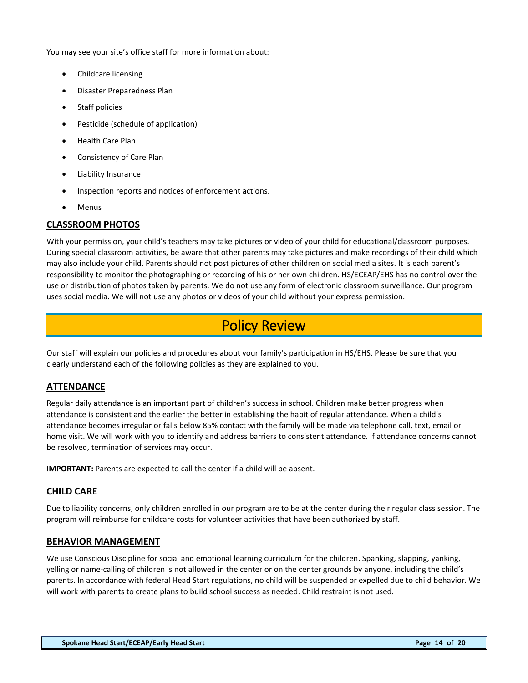You may see your site's office staff for more information about:

- Childcare licensing
- Disaster Preparedness Plan
- Staff policies
- Pesticide (schedule of application)
- Health Care Plan
- Consistency of Care Plan
- Liability Insurance
- Inspection reports and notices of enforcement actions.
- **Menus**

# **CLASSROOM PHOTOS**

With your permission, your child's teachers may take pictures or video of your child for educational/classroom purposes. During special classroom activities, be aware that other parents may take pictures and make recordings of their child which may also include your child. Parents should not post pictures of other children on social media sites. It is each parent's responsibility to monitor the photographing or recording of his or her own children. HS/ECEAP/EHS has no control over the use or distribution of photos taken by parents. We do not use any form of electronic classroom surveillance. Our program uses social media. We will not use any photos or videos of your child without your express permission.

# Policy Review

<span id="page-14-0"></span>Our staff will explain our policies and procedures about your family's participation in HS/EHS. Please be sure that you clearly understand each of the following policies as they are explained to you.

# **ATTENDANCE**

Regular daily attendance is an important part of children's success in school. Children make better progress when attendance is consistent and the earlier the better in establishing the habit of regular attendance. When a child's attendance becomes irregular or falls below 85% contact with the family will be made via telephone call, text, email or home visit. We will work with you to identify and address barriers to consistent attendance. If attendance concerns cannot be resolved, termination of services may occur.

**IMPORTANT:** Parents are expected to call the center if a child will be absent.

# **CHILD CARE**

Due to liability concerns, only children enrolled in our program are to be at the center during their regular class session. The program will reimburse for childcare costs for volunteer activities that have been authorized by staff.

#### **BEHAVIOR MANAGEMENT**

We use Conscious Discipline for social and emotional learning curriculum for the children. Spanking, slapping, yanking, yelling or name-calling of children is not allowed in the center or on the center grounds by anyone, including the child's parents. In accordance with federal Head Start regulations, no child will be suspended or expelled due to child behavior. We will work with parents to create plans to build school success as needed. Child restraint is not used.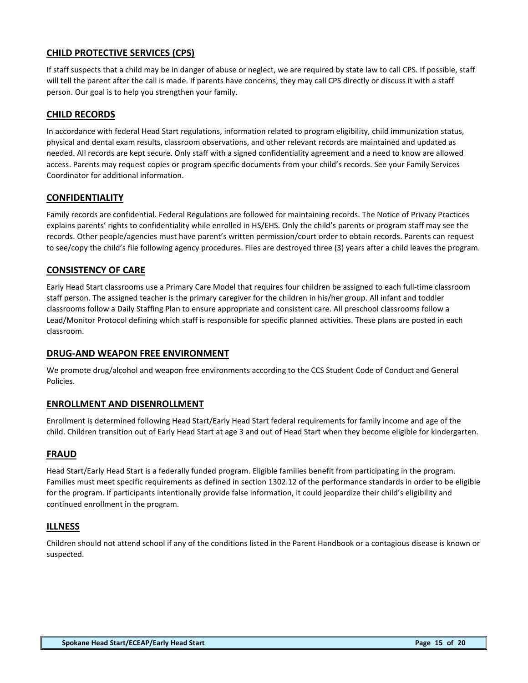# **CHILD PROTECTIVE SERVICES (CPS)**

If staff suspects that a child may be in danger of abuse or neglect, we are required by state law to call CPS. If possible, staff will tell the parent after the call is made. If parents have concerns, they may call CPS directly or discuss it with a staff person. Our goal is to help you strengthen your family.

# **CHILD RECORDS**

In accordance with federal Head Start regulations, information related to program eligibility, child immunization status, physical and dental exam results, classroom observations, and other relevant records are maintained and updated as needed. All records are kept secure. Only staff with a signed confidentiality agreement and a need to know are allowed access. Parents may request copies or program specific documents from your child's records. See your Family Services Coordinator for additional information.

### **CONFIDENTIALITY**

Family records are confidential. Federal Regulations are followed for maintaining records. The Notice of Privacy Practices explains parents' rights to confidentiality while enrolled in HS/EHS. Only the child's parents or program staff may see the records. Other people/agencies must have parent's written permission/court order to obtain records. Parents can request to see/copy the child's file following agency procedures. Files are destroyed three (3) years after a child leaves the program.

# **CONSISTENCY OF CARE**

Early Head Start classrooms use a Primary Care Model that requires four children be assigned to each full-time classroom staff person. The assigned teacher is the primary caregiver for the children in his/her group. All infant and toddler classrooms follow a Daily Staffing Plan to ensure appropriate and consistent care. All preschool classrooms follow a Lead/Monitor Protocol defining which staff is responsible for specific planned activities. These plans are posted in each classroom.

#### **DRUG-AND WEAPON FREE ENVIRONMENT**

We promote drug/alcohol and weapon free environments according to the CCS Student Code of Conduct and General Policies.

#### **ENROLLMENT AND DISENROLLMENT**

Enrollment is determined following Head Start/Early Head Start federal requirements for family income and age of the child. Children transition out of Early Head Start at age 3 and out of Head Start when they become eligible for kindergarten.

#### **FRAUD**

Head Start/Early Head Start is a federally funded program. Eligible families benefit from participating in the program. Families must meet specific requirements as defined in section 1302.12 of the performance standards in order to be eligible for the program. If participants intentionally provide false information, it could jeopardize their child's eligibility and continued enrollment in the program.

#### **ILLNESS**

Children should not attend school if any of the conditions listed in the Parent Handbook or a contagious disease is known or suspected.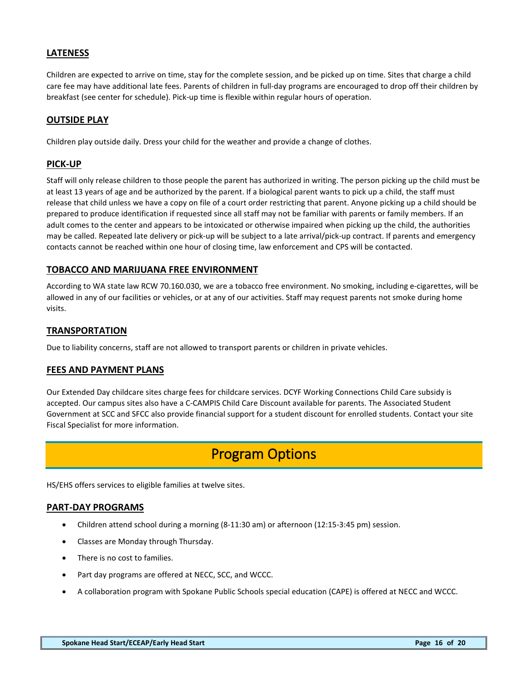# **LATENESS**

Children are expected to arrive on time, stay for the complete session, and be picked up on time. Sites that charge a child care fee may have additional late fees. Parents of children in full-day programs are encouraged to drop off their children by breakfast (see center for schedule). Pick-up time is flexible within regular hours of operation.

#### **OUTSIDE PLAY**

Children play outside daily. Dress your child for the weather and provide a change of clothes.

# **PICK-UP**

Staff will only release children to those people the parent has authorized in writing. The person picking up the child must be at least 13 years of age and be authorized by the parent. If a biological parent wants to pick up a child, the staff must release that child unless we have a copy on file of a court order restricting that parent. Anyone picking up a child should be prepared to produce identification if requested since all staff may not be familiar with parents or family members. If an adult comes to the center and appears to be intoxicated or otherwise impaired when picking up the child, the authorities may be called. Repeated late delivery or pick-up will be subject to a late arrival/pick-up contract. If parents and emergency contacts cannot be reached within one hour of closing time, law enforcement and CPS will be contacted.

# **TOBACCO AND MARIJUANA FREE ENVIRONMENT**

According to WA state law RCW 70.160.030, we are a tobacco free environment. No smoking, including e-cigarettes, will be allowed in any of our facilities or vehicles, or at any of our activities. Staff may request parents not smoke during home visits.

### **TRANSPORTATION**

Due to liability concerns, staff are not allowed to transport parents or children in private vehicles.

#### **FEES AND PAYMENT PLANS**

Our Extended Day childcare sites charge fees for childcare services. DCYF Working Connections Child Care subsidy is accepted. Our campus sites also have a C-CAMPIS Child Care Discount available for parents. The Associated Student Government at SCC and SFCC also provide financial support for a student discount for enrolled students. Contact your site Fiscal Specialist for more information.

# Program Options

<span id="page-16-0"></span>HS/EHS offers services to eligible families at twelve sites.

#### **PART-DAY PROGRAMS**

- Children attend school during a morning (8-11:30 am) or afternoon (12:15-3:45 pm) session.
- Classes are Monday through Thursday.
- There is no cost to families.
- Part day programs are offered at NECC, SCC, and WCCC.
- A collaboration program with Spokane Public Schools special education (CAPE) is offered at NECC and WCCC.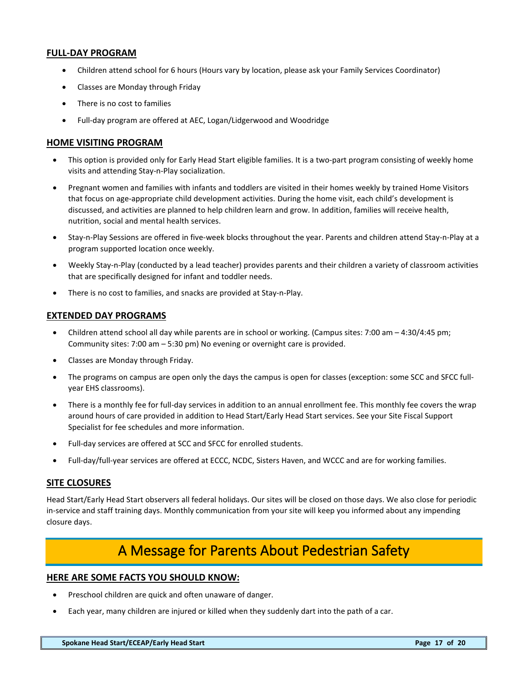### **FULL-DAY PROGRAM**

- Children attend school for 6 hours (Hours vary by location, please ask your Family Services Coordinator)
- Classes are Monday through Friday
- There is no cost to families
- Full-day program are offered at AEC, Logan/Lidgerwood and Woodridge

#### **HOME VISITING PROGRAM**

- This option is provided only for Early Head Start eligible families. It is a two-part program consisting of weekly home visits and attending Stay-n-Play socialization.
- Pregnant women and families with infants and toddlers are visited in their homes weekly by trained Home Visitors that focus on age-appropriate child development activities. During the home visit, each child's development is discussed, and activities are planned to help children learn and grow. In addition, families will receive health, nutrition, social and mental health services.
- Stay-n-Play Sessions are offered in five-week blocks throughout the year. Parents and children attend Stay-n-Play at a program supported location once weekly.
- Weekly Stay-n-Play (conducted by a lead teacher) provides parents and their children a variety of classroom activities that are specifically designed for infant and toddler needs.
- There is no cost to families, and snacks are provided at Stay-n-Play.

### **EXTENDED DAY PROGRAMS**

- Children attend school all day while parents are in school or working. (Campus sites: 7:00 am 4:30/4:45 pm; Community sites: 7:00 am – 5:30 pm) No evening or overnight care is provided.
- Classes are Monday through Friday.
- The programs on campus are open only the days the campus is open for classes (exception: some SCC and SFCC fullyear EHS classrooms).
- There is a monthly fee for full-day services in addition to an annual enrollment fee. This monthly fee covers the wrap around hours of care provided in addition to Head Start/Early Head Start services. See your Site Fiscal Support Specialist for fee schedules and more information.
- Full-day services are offered at SCC and SFCC for enrolled students.
- Full-day/full-year services are offered at ECCC, NCDC, Sisters Haven, and WCCC and are for working families.

#### **SITE CLOSURES**

Head Start/Early Head Start observers all federal holidays. Our sites will be closed on those days. We also close for periodic in-service and staff training days. Monthly communication from your site will keep you informed about any impending closure days.

# A Message for Parents About Pedestrian Safety

#### <span id="page-17-0"></span>**HERE ARE SOME FACTS YOU SHOULD KNOW:**

- Preschool children are quick and often unaware of danger.
- Each year, many children are injured or killed when they suddenly dart into the path of a car.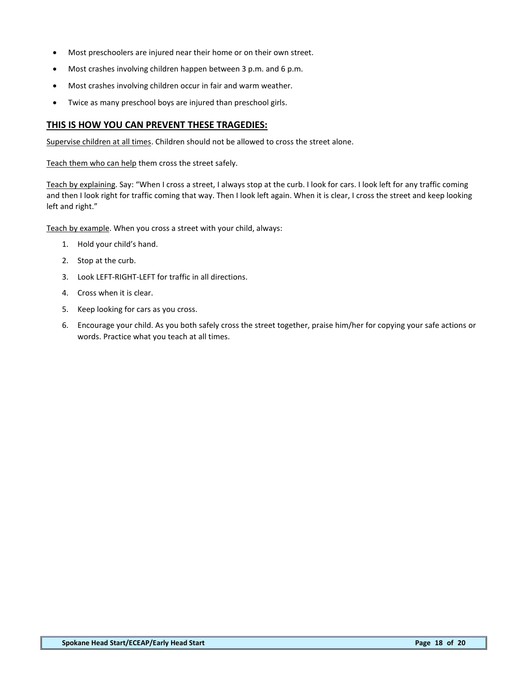- Most preschoolers are injured near their home or on their own street.
- Most crashes involving children happen between 3 p.m. and 6 p.m.
- Most crashes involving children occur in fair and warm weather.
- Twice as many preschool boys are injured than preschool girls.

### **THIS IS HOW YOU CAN PREVENT THESE TRAGEDIES:**

Supervise children at all times. Children should not be allowed to cross the street alone.

Teach them who can help them cross the street safely.

Teach by explaining. Say: "When I cross a street, I always stop at the curb. I look for cars. I look left for any traffic coming and then I look right for traffic coming that way. Then I look left again. When it is clear, I cross the street and keep looking left and right."

Teach by example. When you cross a street with your child, always:

- 1. Hold your child's hand.
- 2. Stop at the curb.
- 3. Look LEFT-RIGHT-LEFT for traffic in all directions.
- 4. Cross when it is clear.
- 5. Keep looking for cars as you cross.
- 6. Encourage your child. As you both safely cross the street together, praise him/her for copying your safe actions or words. Practice what you teach at all times.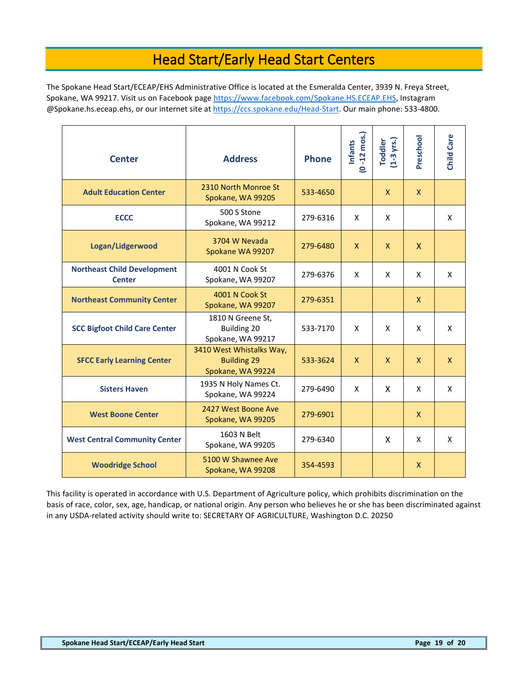# Head Start/Early Head Start Centers

<span id="page-19-0"></span>The Spokane Head Start/ECEAP/EHS Administrative Office is located at the Esmeralda Center, 3939 N. Freya Street, Spokane, WA 99217. Visit us on Facebook pag[e https://www.facebook.com/Spokane.HS.ECEAP.EHS,](https://www.facebook.com/Spokane.HS.ECEAP.EHS) Instagram @Spokane.hs.eceap.ehs, or our internet site at [https://ccs.spokane.edu/Head-Start.](https://ccs.spokane.edu/Head-Start) Our main phone: 533-4800.

| <b>Center</b>                                       | <b>Address</b>                                                      | <b>Phone</b> | $(0 - 12 \text{ m o s.})$<br><b>Infants</b> | $(1-3$ yrs.)<br><b>Toddler</b> | Preschool    | Child Care   |
|-----------------------------------------------------|---------------------------------------------------------------------|--------------|---------------------------------------------|--------------------------------|--------------|--------------|
| <b>Adult Education Center</b>                       | 2310 North Monroe St<br>Spokane, WA 99205                           | 533-4650     |                                             | X                              | $\mathsf{X}$ |              |
| <b>ECCC</b>                                         | 500 S Stone<br>Spokane, WA 99212                                    | 279-6316     | X                                           | X                              |              | X            |
| Logan/Lidgerwood                                    | 3704 W Nevada<br>Spokane WA 99207                                   | 279-6480     | X                                           | <b>X</b>                       | $\mathsf{x}$ |              |
| <b>Northeast Child Development</b><br><b>Center</b> | 4001 N Cook St<br>Spokane, WA 99207                                 | 279-6376     | X                                           | X                              | X            | X            |
| <b>Northeast Community Center</b>                   | 4001 N Cook St<br>Spokane, WA 99207                                 | 279-6351     |                                             |                                | $\mathsf{X}$ |              |
| <b>SCC Bigfoot Child Care Center</b>                | 1810 N Greene St,<br>Building 20<br>Spokane, WA 99217               | 533-7170     | X                                           | X                              | X            | X            |
| <b>SFCC Early Learning Center</b>                   | 3410 West Whistalks Way,<br><b>Building 29</b><br>Spokane, WA 99224 | 533-3624     | $\mathsf{X}$                                | <b>X</b>                       | X            | $\mathsf{X}$ |
| <b>Sisters Haven</b>                                | 1935 N Holy Names Ct.<br>Spokane, WA 99224                          | 279-6490     | X                                           | X                              | X            | X            |
| <b>West Boone Center</b>                            | 2427 West Boone Ave<br>Spokane, WA 99205                            | 279-6901     |                                             |                                | $\mathsf{X}$ |              |
| <b>West Central Community Center</b>                | 1603 N Belt<br>Spokane, WA 99205                                    | 279-6340     |                                             | X                              | X            | X            |
| <b>Woodridge School</b>                             | 5100 W Shawnee Ave<br>Spokane, WA 99208                             | 354-4593     |                                             |                                | $\mathsf{X}$ |              |

This facility is operated in accordance with U.S. Department of Agriculture policy, which prohibits discrimination on the basis of race, color, sex, age, handicap, or national origin. Any person who believes he or she has been discriminated against in any USDA-related activity should write to: SECRETARY OF AGRICULTURE, Washington D.C. 20250